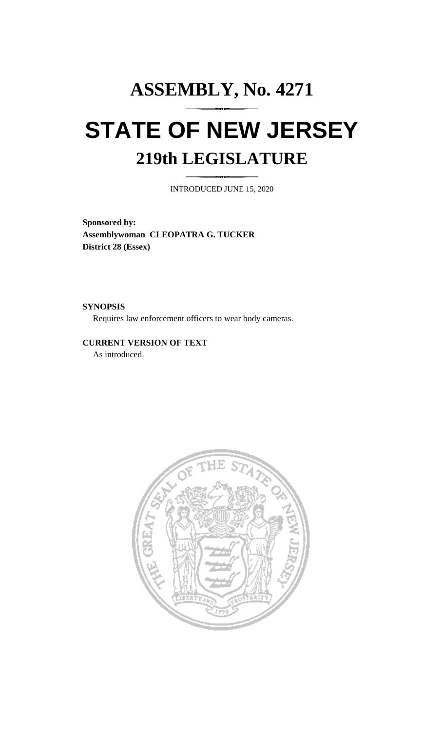## **ASSEMBLY, No. 4271 STATE OF NEW JERSEY 219th LEGISLATURE**

INTRODUCED JUNE 15, 2020

**Sponsored by: Assemblywoman CLEOPATRA G. TUCKER District 28 (Essex)**

**SYNOPSIS**

Requires law enforcement officers to wear body cameras.

**CURRENT VERSION OF TEXT**  As introduced.